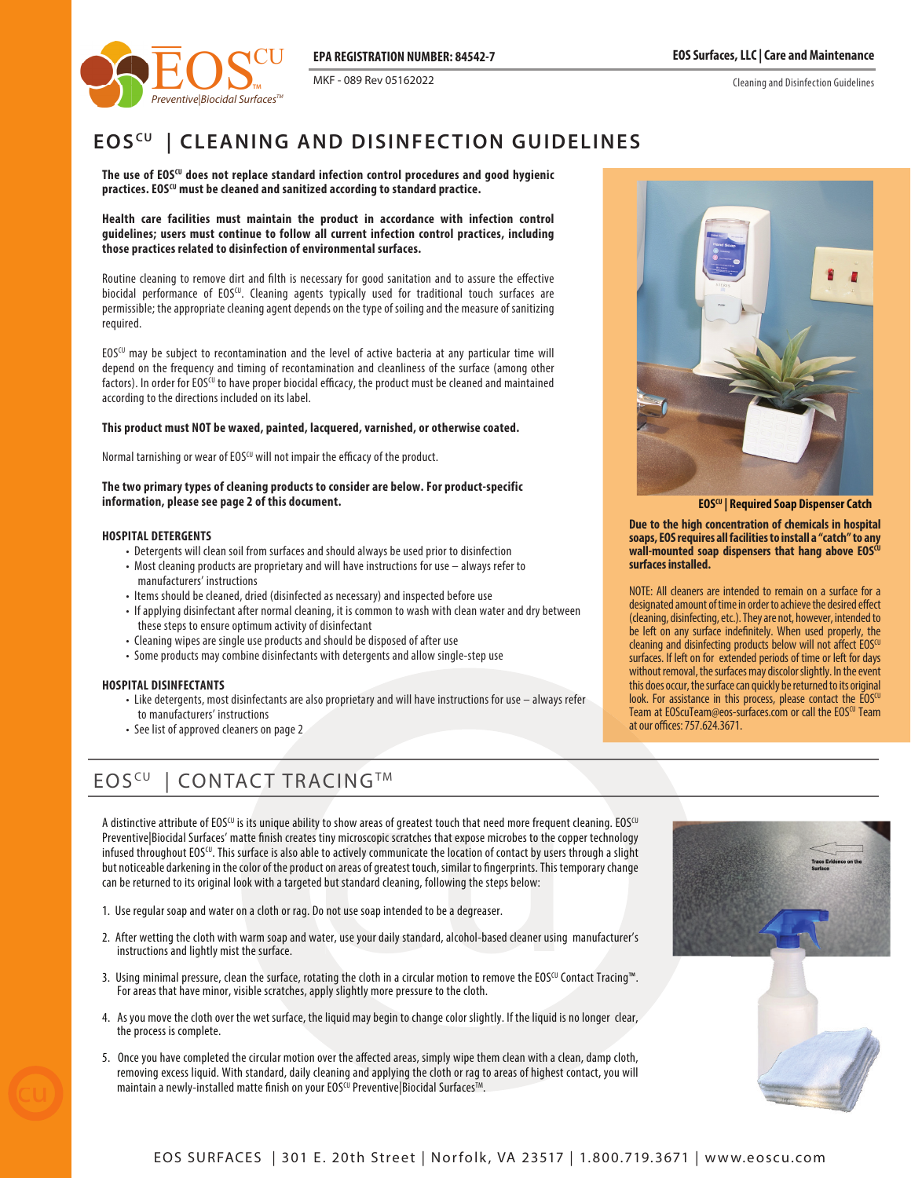MKF - 089 Rev 05162022

Cleaning and Disinfection Guidelines



# **EOS<sup>CU</sup> | CLEANING AND DISINFECTION GUIDELINES**

**The use of EOSCU does not replace standard infection control procedures and good hygienic**  practices. EOS<sup>CU</sup> must be cleaned and sanitized according to standard practice.

**Health care facilities must maintain the product in accordance with infection control guidelines; users must continue to follow all current infection control practices, including those practices related to disinfection of environmental surfaces.**

Routine cleaning to remove dirt and filth is necessary for good sanitation and to assure the effective biocidal performance of EOSCU. Cleaning agents typically used for traditional touch surfaces are permissible; the appropriate cleaning agent depends on the type of soiling and the measure of sanitizing required.

EOSCU may be subject to recontamination and the level of active bacteria at any particular time will depend on the frequency and timing of recontamination and cleanliness of the surface (among other factors). In order for EOS<sup>CU</sup> to have proper biocidal efficacy, the product must be cleaned and maintained according to the directions included on its label.

### **This product must NOT be waxed, painted, lacquered, varnished, or otherwise coated.**

Normal tarnishing or wear of EOSCU will not impair the efficacy of the product.

#### **The two primary types of cleaning products to consider are below. For product-specific information, please see page 2 of this document.**

### **HOSPITAL DETERGENTS**

- Detergents will clean soil from surfaces and should always be used prior to disinfection
- Most cleaning products are proprietary and will have instructions for use always refer to manufacturers' instructions
- Items should be cleaned, dried (disinfected as necessary) and inspected before use
- If applying disinfectant after normal cleaning, it is common to wash with clean water and dry between these steps to ensure optimum activity of disinfectant
- Cleaning wipes are single use products and should be disposed of after use
- Some products may combine disinfectants with detergents and allow single-step use

### **HOSPITAL DISINFECTANTS**

- Like detergents, most disinfectants are also proprietary and will have instructions for use always refer to manufacturers' instructions
- See list of approved cleaners on page 2

# EOS<sup>CU</sup> | CONTACT TRACING™

 $\mathbf{A} \subset \mathbf{I} \mathbf{N} \mathbf{G}^{\top} \mathbf{M}$ <br>y to show areas of greatest touch that need more frequent<br>tiny microscopic scratches that expose microbes to the cop<br>to actively communicate the location of contact by users t<br>ct on A distinctive attribute of EOSCU is its unique ability to show areas of greatest touch that need more frequent cleaning. EOSCU Preventive|Biocidal Surfaces' matte finish creates tiny microscopic scratches that expose microbes to the copper technology infused throughout  $EOS^{(U)}$ . This surface is also able to actively communicate the location of contact by users through a slight but noticeable darkening in the color of the product on areas of greatest touch, similar to ngerprints. This temporary change can be returned to its original look with a targeted but standard cleaning, following the steps below:

- 1. Use regular soap and water on a cloth or rag. Do not use soap intended to be a degreaser.
- 2. After wetting the cloth with warm soap and water, use your daily standard, alcohol-based cleaner using manufacturer's instructions and lightly mist the surface.
- 3. Using minimal pressure, clean the surface, rotating the cloth in a circular motion to remove the EOS<sup>CU</sup> Contact Tracing™. For areas that have minor, visible scratches, apply slightly more pressure to the cloth.
- 4. As you move the cloth over the wet surface, the liquid may begin to change color slightly. If the liquid is no longer clear, the process is complete.
- 5. Once you have completed the circular motion over the affected areas, simply wipe them clean with a clean, damp cloth, removing excess liquid. With standard, daily cleaning and applying the cloth or rag to areas of highest contact, you will maintain a newly-installed matte finish on your EOSCU Preventive Biocidal Surfaces<sup>TM</sup>.



 **EOSCU | Required Soap Dispenser Catch**

**Due to the high concentration of chemicals in hospital soaps, EOS requires all facilities to install a "catch" to any**  wall-mounted soap dispensers that hang above EOS<sup>cu</sup> **surfaces installed.**

NOTE: All cleaners are intended to remain on a surface for a designated amount of time in order to achieve the desired effect (cleaning, disinfecting, etc.). They are not, however, intended to be left on any surface indefinitely. When used properly, the cleaning and disinfecting products below will not affect EOSCU surfaces. If left on for extended periods of time or left for days without removal, the surfaces may discolor slightly. In the event this does occur, the surface can quickly be returned to its original look. For assistance in this process, please contact the  $EOS^{CU}$ Team at EOScuTeam@eos-surfaces.com or call the EOSCU Team at our offices: 757.624.3671.